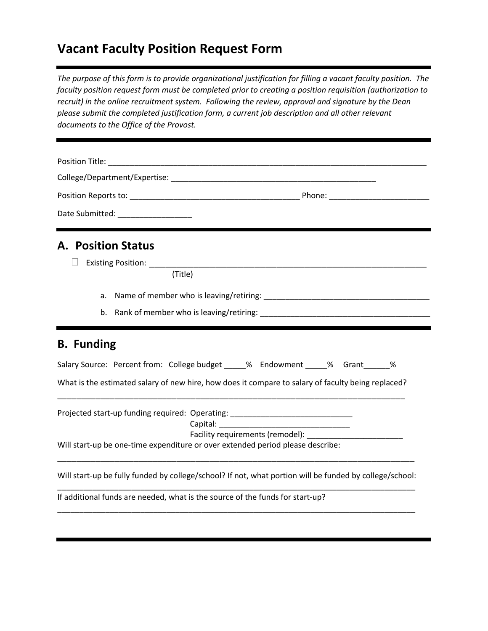## **Vacant Faculty Position Request Form**

*The purpose of this form is to provide organizational justification for filling a vacant faculty position. The faculty position request form must be completed prior to creating a position requisition (authorization to recruit) in the online recruitment system. Following the review, approval and signature by the Dean please submit the completed justification form, a current job description and all other relevant documents to the Office of the Provost.* 

| Date Submitted: ___________________                                                                |                                                                                                         |                                  |  |  |
|----------------------------------------------------------------------------------------------------|---------------------------------------------------------------------------------------------------------|----------------------------------|--|--|
| <b>A. Position Status</b>                                                                          |                                                                                                         |                                  |  |  |
|                                                                                                    |                                                                                                         |                                  |  |  |
|                                                                                                    | (Title)                                                                                                 |                                  |  |  |
|                                                                                                    |                                                                                                         |                                  |  |  |
| <b>B.</b> Funding                                                                                  |                                                                                                         |                                  |  |  |
|                                                                                                    | Salary Source: Percent from: College budget ______ % Endowment _____ % Grant _____ %                    |                                  |  |  |
| What is the estimated salary of new hire, how does it compare to salary of faculty being replaced? |                                                                                                         |                                  |  |  |
|                                                                                                    | Projected start-up funding required: Operating: ________________________________                        | Facility requirements (remodel): |  |  |
|                                                                                                    | Will start-up be one-time expenditure or over extended period please describe:                          |                                  |  |  |
|                                                                                                    | Will start-up be fully funded by college/school? If not, what portion will be funded by college/school: |                                  |  |  |
|                                                                                                    | If additional funds are needed, what is the source of the funds for start-up?                           |                                  |  |  |